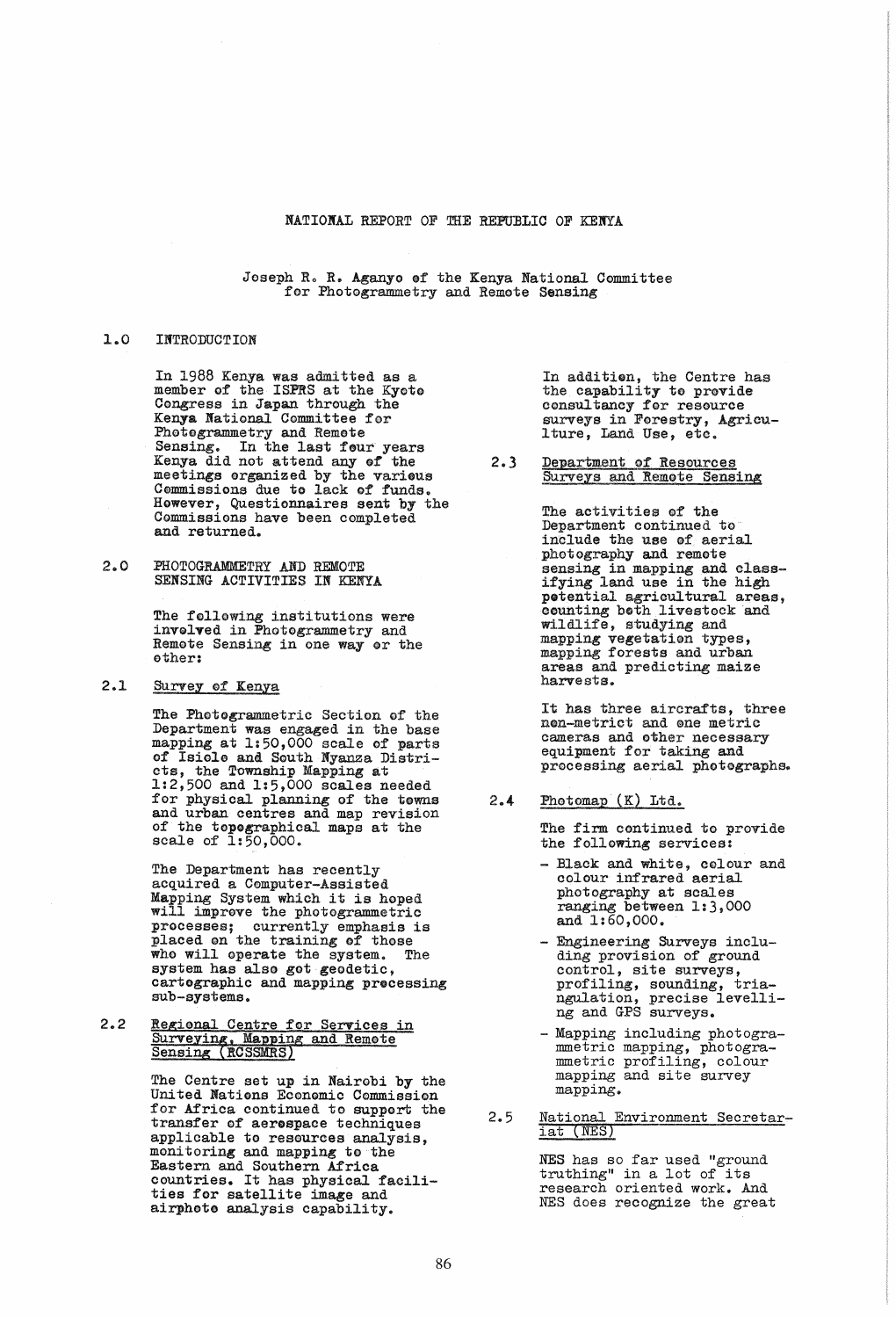## NATIONAL REPORT OF THE REPUBLIC OF KENYA

Joseph Ro R. Aganyo of the Kenya National Committee for Photogrammetry and Remote Sensing

## 1.0 INTRODUCTION

In 1988 Kenya was admitted as a member of the ISPRS at the Kyoto Congress in Japan through the Kenya National Committee for Photogrammetry and Remote Sensing. In the last four years Kenya did not attend any of the meetings organized by the various Commissions due to lack of funds. However, Questionnaires sent by the Commissions have been completed and returned.

2.0 PHOTOGRAMMETRY AND REMOTE SENSING ACTIVITIES IN KENYA

> The following institutions were involved in Photogrammetry and Remote Sensing in one way or the ether:

2.1 Survey of Kenya

The Photogrammetric Section of the Department was engaged in the base mapping at 1:50,000 scale of parts of Isiolo and South Nyanza Districts, the Township Mapping at 1:2,500 and 1:5,000 scales needed for physical planning of the tewns and urban centres and map revision of the topographical maps at the  $scale of 1:50,000.$ 

The Department has recently acquired a Computer-Assisted Mapping System which it is hoped will improve the photogrammetric processes; currently emphasis is placed on the training of those who will operate the system. The system has also got geodetic,<br>cartographic and mapping processing<br>sub-systems.

Regional Centre for Services in<br>Surveying, Mapping and Remote<br>Sensing (RCSSMRS) 2.2

> The Centre set up in Nairobi by the United Nations Economic Commission for Africa continued to support the transfer of aerospace techniques transfer of aerospace techniques applicable to resources analysis, monitoring and mapping to the Eastern and Southern Africa countries. It has physical facilities for satellite image and airphoto analysis capability.

In addition, the Centre has<br>the capability to provide the capability to provide consultancy for resource surveys in Forestry, Agriculture, Land Use, etc.

2.3 Department of Resources Surveys and Remote Sensing

> The activities of the Department continued to include the use of aerial photography and remote sensing in mapping and classifying land use in the high petential agricultural areas, potential agricultural areas,<br>counting both livestock and wildlife, studying and mapping vegetation types, mapping forests and urban areas and predicting maize harvests ..

It has three aircrafts, three non-metrict and ene metric cameras and other necessary equipment for taking and equipment for taking and<br>processing aerial photographs.

 $2.4$ Photomap (K) Ltd.

> The firm continued to provide the following services:

- Black and white, colour and colour infrared aerial photography at scales ranging between 1:3,000 and 1:60,000.
- Engineering Surveys inclu-<br>ding provision of ground ding provision of ground<br>control, site surveys,<br>profiling, sounding, triaprofiling, sounding, cria-<br>ngulation, precise levelling and GPS surveys.
- Mapping including photogra- mmetric mapping, photogra- mmetric profiling, colour mapping and site survey<br>mapping.
- 2.5 National Environment Secretar-iat (NES)

NES has so far used "ground truthing" in a lot of its research oriented work. And NES does recognize the great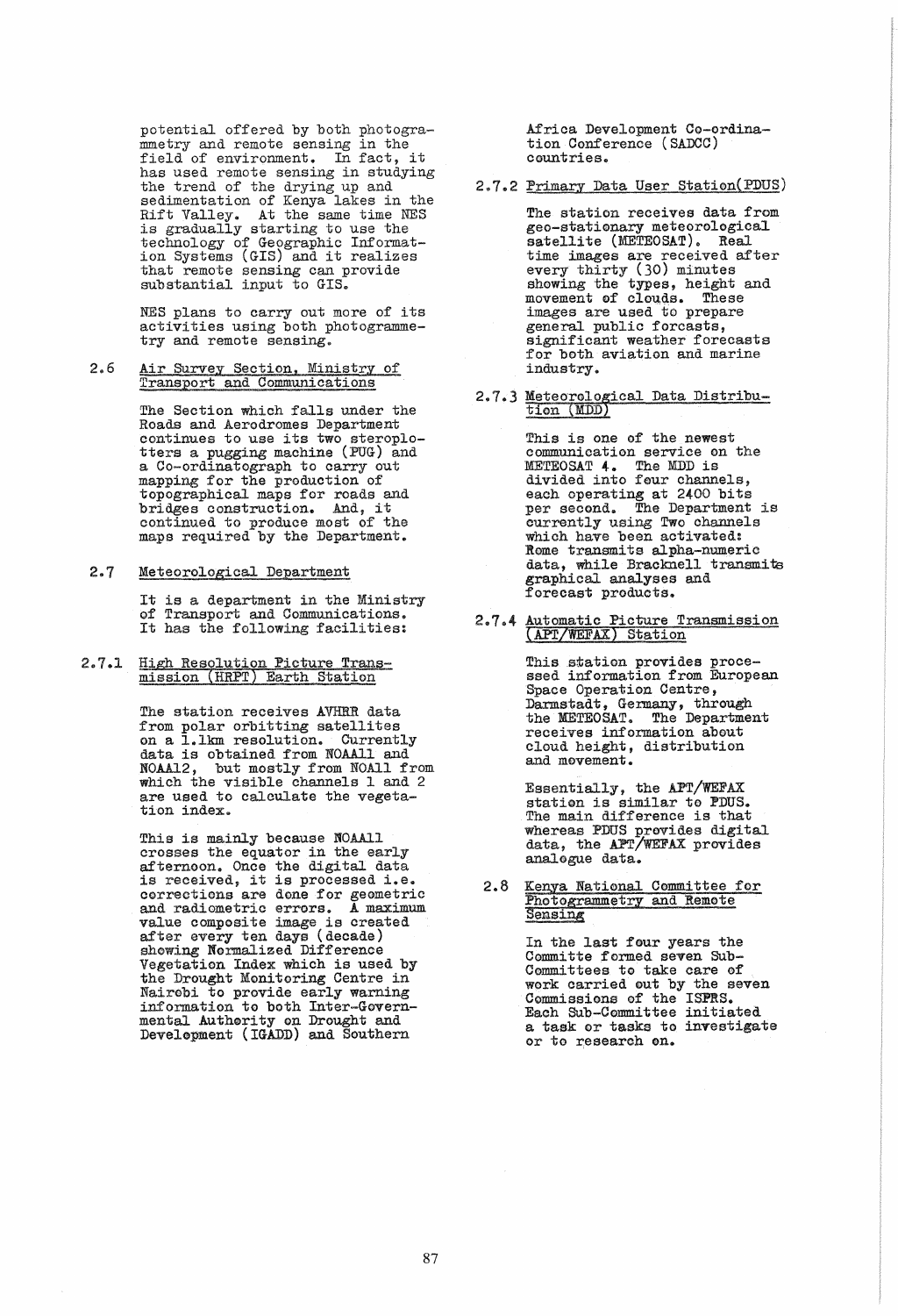potential offered by both photogrammetry and remote sensing in the<br>field of environment. In fact, it has used remote sensing in studying the trend of the drying up and sedimentation of Kenya lakes in the Rift Valley. At the same time NES is gradually starting to use the technology of Geographic Informat-<br>ion Systems (GIS) and it realizes<br>that remote sensing can provide substantial input to GIS.

NES plans to carry out more of its activities using both photogrammetry and remote sensing.

2.6 Air Survey Section, Ministry of Transport and Communications

> The Section which falls under the Roads and Aerodromes Department continues to use its two steroplotters a pugging machine (PUG) and a Co-ordinatograph to carry out mapping for the production of topographical maps for roads and bridges construction. And, it continued to produce most of the maps required by the Department.

2.7 Meteorological Department

It is a department in the Ministry of Transport and Communications. It has the following facilities:

 $2.7.1$ High Resolution Picture Transmission (HRFT) Earth Station

> The station receives AVHRR data from polar orbitting satellites<br>on a 1.1km resolution. Currently data is obtained from NOAAll and NOAA12, but mostly from NOA11 from<br>which the visible channels 1 and 2 are used to calculate the vegeta-<br>tion index.

This is mainly because NOAAll crosses the equator in the early<br>afternoon. Once the digital data arternoon. Once the digital data<br>is received, it is processed i.e. corrections are done for geometric<br>and radiometric errors. A maximum value composite image is created after every ten days (decade) showing Normalized Difference Vegetation Index which is used by the Drought Monitoring Centre in Nairobi to provide early warning information to both Inter-Governmental Authority on Drought and Develepment (IGADD) and Southern

Africa Development Co-ordination Conference (SADCC) countries ..

2~7.2 Primary Data User Station{PDUS)

The station receives data from geo-stationary meteorological satellite (METEOSAT).. Real time images are received after every thirty (30) minutes showing the types, height and movement of clouds. These images are used to prepare general public forcasts, significant weather forecasts for both aviation and marine industry ..

2.7.3 Meteorological Data Distribution (MDD\_

> This is one of the newest communication service on the METEOSAT 4. The MDD is divided into four channels, each operating at 2400 bits per second. The Department is currently using Two channels which have been activated: Rome transmits alpha-numeric<br>data, while Bracknell transmits graphical analyses and forecast products.

2.7.4 Automatic Picture Transmission (APT/WEFAX) Station

> This station provides proce-<br>ssed information from European<br>Space Operation Centre, Darmstadt, Germany, through the METEOSAT. The Department receives information about cloud height, distribution and movement.

Essentially, the APT/WEFAX station is similar to FDUS. The main difference is that whereas PDUS provides digital data, the APT/WEFAX provides analogue data.

2.8 Kenya National Committee for and Remote Sensing

> In the last four years the Committe formed seven Sub-Committees to take care of work carried out by the seven Commissions of the ISPRS. Each Sub-Committee initiated a task or tasks to investigate or to research on.